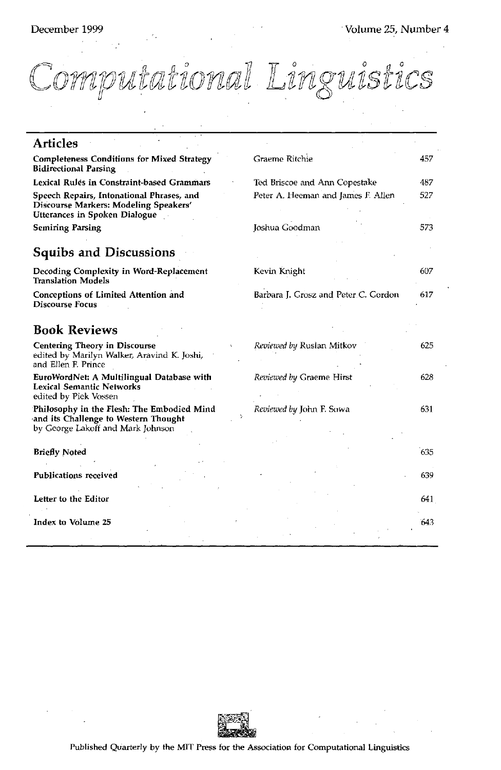Computational Linguistics

| <b>Articles</b>                                                                                                         |                                      |     |
|-------------------------------------------------------------------------------------------------------------------------|--------------------------------------|-----|
| <b>Completeness Conditions for Mixed Strategy</b><br><b>Bidirectional Parsing</b>                                       | Graeme Ritchie                       | 457 |
| Lexical Rules in Constraint-based Grammars                                                                              | Ted Briscoe and Ann Copestake        | 487 |
| Speech Repairs, Intonational Phrases, and<br>Discourse Markers: Modeling Speakers'<br>Utterances in Spoken Dialogue     | Peter A. Heeman and James F. Allen   | 527 |
| <b>Semiring Parsing</b>                                                                                                 | Joshua Goodman                       | 573 |
| <b>Squibs and Discussions</b>                                                                                           |                                      |     |
| Decoding Complexity in Word-Replacement<br><b>Translation Models</b>                                                    | Kevin Knight                         | 607 |
| <b>Conceptions of Limited Attention and</b><br><b>Discourse Focus</b>                                                   | Barbara J. Grosz and Peter C. Gordon | 617 |
| <b>Book Reviews</b>                                                                                                     |                                      |     |
| <b>Centering Theory in Discourse</b><br>edited by Marilyn Walker, Aravind K. Joshi,<br>and Ellen F. Prince              | <i>Reviewed by</i> Ruslan Mitkov     | 625 |
| EuroWordNet: A Multilingual Database with<br><b>Lexical Semantic Networks</b><br>edited by Piek Vossen                  | Reviewed by Graeme Hirst             | 628 |
| Philosophy in the Flesh: The Embodied Mind<br>and its Challenge to Western Thought<br>by George Lakoff and Mark Johnson | Reviewed by John F. Sowa             | 631 |
| <b>Briefly Noted</b>                                                                                                    |                                      | 635 |
| <b>Publications received</b>                                                                                            |                                      | 639 |
| Letter to the Editor                                                                                                    |                                      | 641 |
| Index to Volume 25                                                                                                      |                                      | 643 |
|                                                                                                                         |                                      |     |

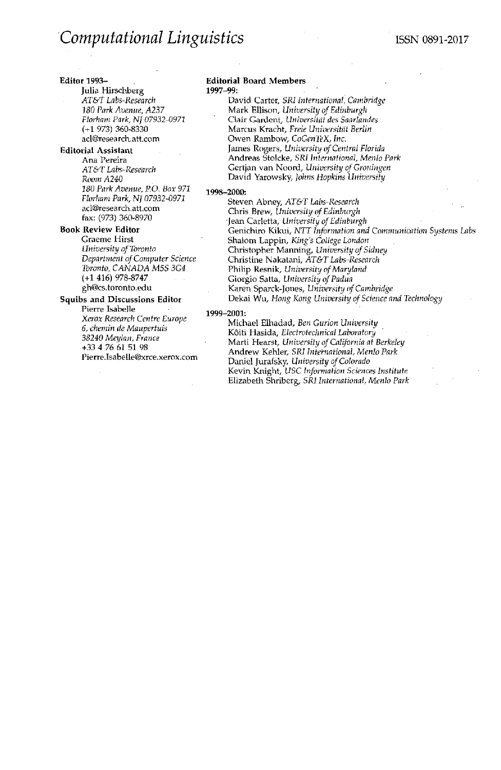#### **Editor 1993-**

# **Julia** Hirschberg *AT&T Labs-Research 180 Park Avenue, A237 Florham Park, N] 07932-0971*  (+1 973) 360-8330 ad@research.att.com

## **Editorial Assistant**

Ana Pereira *AT&T Labs-Research Room A240 180 Park Avenue, P.O. Box 971 Florham Park, NJ 07932-0971*  acl@research.att.com fax: (973) 360-8970

# **Book Review Editor**

Graeme Hirst *University of Toronto Department of Computer Science Toronto, CANADA M5S 3G4*  (+1 416) 978-8747 gh@cs.toronto.edu

## **Squibs and Discussions Editor**

Pierre Isabelle *Xerox Research Centre Europe 6, chemin de Maupertuis 38240 Meylan, France*  +33 4 76 61 51 98 Pierre.Isabelle@xrce.xerox.com

#### **Editorial Board Members 1997-99:**

David Carter, *SRI International Cambridge*  Mark Ellison, *University of Edinburgh*  Clair Gardent, *Universitiit des Saarlandes*  Marcus Kracht, Freie Universität Berlin Owen Rambow, *CoGenTeX, Inc.*  James Rogers, *University of Central Florida*  Andreas Stolcke, *SRI International, Menlo Park*  Gertjan van Noord, *University of Groningen*  David Yarowsky, *Johns Hopkins University* 

#### **1998-2000:**

Steven Abney, *AT&T Labs-Research*  Chris Brew, *University of Edinburgh*  Jean Carletta, *University of Edinburgh*  Genichiro Kikui, *NTT Information and Communication Systems Labs*  Shalom Lappin, *King's College London*  Christopher Manning, *University of Sidney*  Christine Nakatani, *AT&T Labs-Research*  Philip Resnik, *University of Maryland* Giorgio Satta, *University of Padua*  Karen Sparck-J0nes, *University of Cambridge*  Dekai Wu, *Hong Kong University of Science and Technology* 

#### **1999-2001:**

Michael Elhadad, *Ben Gurion University*  K6iti Hasida, *Electrotechnical Laboratory*  Marti Hearst, *University of California at Berkeley*  Andrew Kehler, *SRI International, Menlo Park*  Daniel Jurafsky, *University of Colorado*  Kevin Knight, *USC Information Sciences Institute*  Elizabeth Shriberg, *SRI International, Menlo Park*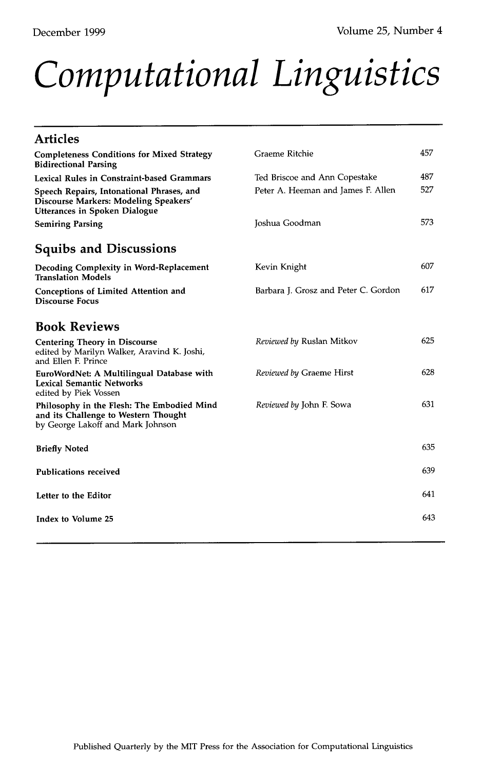# *Computational Linguistics*

| <b>Articles</b>                                                                                                         |                                      |      |
|-------------------------------------------------------------------------------------------------------------------------|--------------------------------------|------|
| <b>Completeness Conditions for Mixed Strategy</b><br><b>Bidirectional Parsing</b>                                       | Graeme Ritchie                       | 457  |
| Lexical Rules in Constraint-based Grammars                                                                              | Ted Briscoe and Ann Copestake        | 487  |
| Speech Repairs, Intonational Phrases, and<br>Discourse Markers: Modeling Speakers'<br>Utterances in Spoken Dialogue     | Peter A. Heeman and James F. Allen   | 527  |
| <b>Semiring Parsing</b>                                                                                                 | Joshua Goodman                       | 573  |
| <b>Squibs and Discussions</b>                                                                                           |                                      |      |
| Decoding Complexity in Word-Replacement<br><b>Translation Models</b>                                                    | Kevin Knight                         | 607  |
| <b>Conceptions of Limited Attention and</b><br><b>Discourse Focus</b>                                                   | Barbara J. Grosz and Peter C. Gordon | 617  |
| <b>Book Reviews</b>                                                                                                     |                                      |      |
| <b>Centering Theory in Discourse</b><br>edited by Marilyn Walker, Aravind K. Joshi,<br>and Ellen F. Prince              | Reviewed by Ruslan Mitkov            | 625  |
| EuroWordNet: A Multilingual Database with<br><b>Lexical Semantic Networks</b><br>edited by Piek Vossen                  | Reviewed by Graeme Hirst             | 628  |
| Philosophy in the Flesh: The Embodied Mind<br>and its Challenge to Western Thought<br>by George Lakoff and Mark Johnson | <i>Reviewed by John F. Sowa</i>      | 631  |
| <b>Briefly Noted</b>                                                                                                    |                                      | 635  |
| <b>Publications received</b>                                                                                            |                                      | 639  |
| Letter to the Editor                                                                                                    |                                      | 641  |
| Index to Volume 25                                                                                                      |                                      | 643. |
|                                                                                                                         |                                      |      |